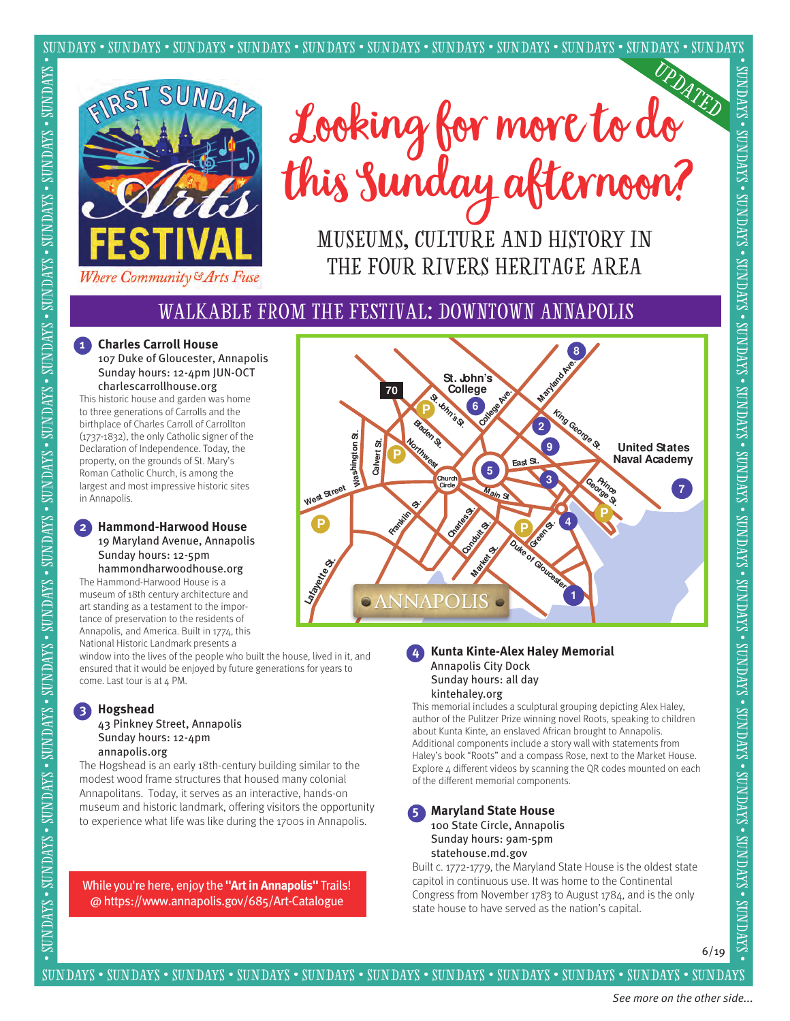

Looking for more to do this Sunday afternoon?

MUSEUMS, CULTURE AND HISTORY IN THE FOUR RIVERS HERITAGE AREA

# Walkable from the Festival: Downtown Annapolis

# **1 Charles Carroll House**

 107 Duke of Gloucester, Annapolis Sunday hours: 12-4pm JUN-OCT charlescarrollhouse.org

This historic house and garden was home to three generations of Carrolls and the birthplace of Charles Carroll of Carrollton (1737-1832), the only Catholic signer of the Declaration of Independence. Today, the property, on the grounds of St. Mary's Roman Catholic Church, is among the largest and most impressive historic sites in Annapolis.

#### **2 Hammond-Harwood House** 19 Maryland Avenue, Annapolis Sunday hours: 12-5pm

hammondharwoodhouse.org The Hammond-Harwood House is a museum of 18th century architecture and

art standing as a testament to the importance of preservation to the residents of Annapolis, and America. Built in 1774, this National Historic Landmark presents a

window into the lives of the people who built the house, lived in it, and ensured that it would be enjoyed by future generations for years to come. Last tour is at 4 PM.

#### **3 Hogshead**

#### 43 Pinkney Street, Annapolis Sunday hours: 12-4pm annapolis.org

The Hogshead is an early 18th-century building similar to the modest wood frame structures that housed many colonial Annapolitans. Today, it serves as an interactive, hands-on museum and historic landmark, offering visitors the opportunity to experience what life was like during the 1700s in Annapolis.

While you're here, enjoy the **"Art in Annapolis"** Trails! @ https://www.annapolis.gov/685/Art-Catalogue



#### **4 Kunta Kinte-Alex Haley Memorial** Annapolis City Dock Sunday hours: all day kintehaley.org

This memorial includes a sculptural grouping depicting Alex Haley, author of the Pulitzer Prize winning novel Roots, speaking to children about Kunta Kinte, an enslaved African brought to Annapolis. Additional components include a story wall with statements from Haley's book "Roots" and a compass Rose, next to the Market House. Explore  $4$  different videos by scanning the QR codes mounted on each of the different memorial components.

#### **5 Maryland State House** 100 State Circle, Annapolis Sunday hours: 9am-5pm

statehouse.md.gov

Built c. 1772-1779, the Maryland State House is the oldest state capitol in continuous use. It was home to the Continental Congress from November 1783 to August 1784, and is the only state house to have served as the nation's capital.

6/19